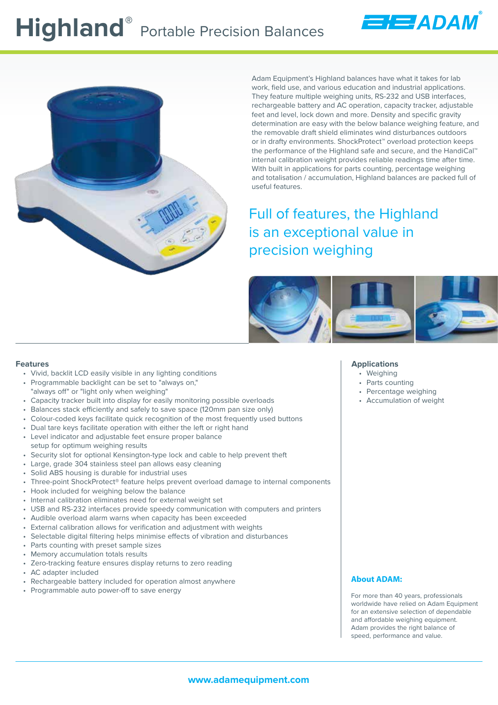

Adam Equipment's Highland balances have what it takes for lab work, field use, and various education and industrial applications. They feature multiple weighing units, RS-232 and USB interfaces, rechargeable battery and AC operation, capacity tracker, adjustable feet and level, lock down and more. Density and specific gravity determination are easy with the below balance weighing feature, and the removable draft shield eliminates wind disturbances outdoors or in drafty environments. ShockProtect™ overload protection keeps the performance of the Highland safe and secure, and the HandiCal™ internal calibration weight provides reliable readings time after time. With built in applications for parts counting, percentage weighing and totalisation / accumulation, Highland balances are packed full of useful features.

EEADAM

Full of features, the Highland is an exceptional value in precision weighing



#### **Features**

- Vivid, backlit LCD easily visible in any lighting conditions
- Programmable backlight can be set to "always on," "always off" or "light only when weighing"
- Capacity tracker built into display for easily monitoring possible overloads
- Balances stack efficiently and safely to save space (120mm pan size only)
- Colour-coded keys facilitate quick recognition of the most frequently used buttons
- Dual tare keys facilitate operation with either the left or right hand
- Level indicator and adjustable feet ensure proper balance setup for optimum weighing results
- Security slot for optional Kensington-type lock and cable to help prevent theft
- Large, grade 304 stainless steel pan allows easy cleaning
- Solid ABS housing is durable for industrial uses
- Three-point ShockProtect® feature helps prevent overload damage to internal components
- Hook included for weighing below the balance
- Internal calibration eliminates need for external weight set
- USB and RS-232 interfaces provide speedy communication with computers and printers
- Audible overload alarm warns when capacity has been exceeded
- External calibration allows for verification and adjustment with weights
- Selectable digital filtering helps minimise effects of vibration and disturbances
- Parts counting with preset sample sizes
- Memory accumulation totals results
- Zero-tracking feature ensures display returns to zero reading
- AC adapter included
- Rechargeable battery included for operation almost anywhere
- Programmable auto power-off to save energy

#### **Applications**

- Weighing
- Parts counting
- Percentage weighing
- Accumulation of weight

#### **About ADAM:**

For more than 40 years, professionals worldwide have relied on Adam Equipment for an extensive selection of dependable and affordable weighing equipment. Adam provides the right balance of speed, performance and value.